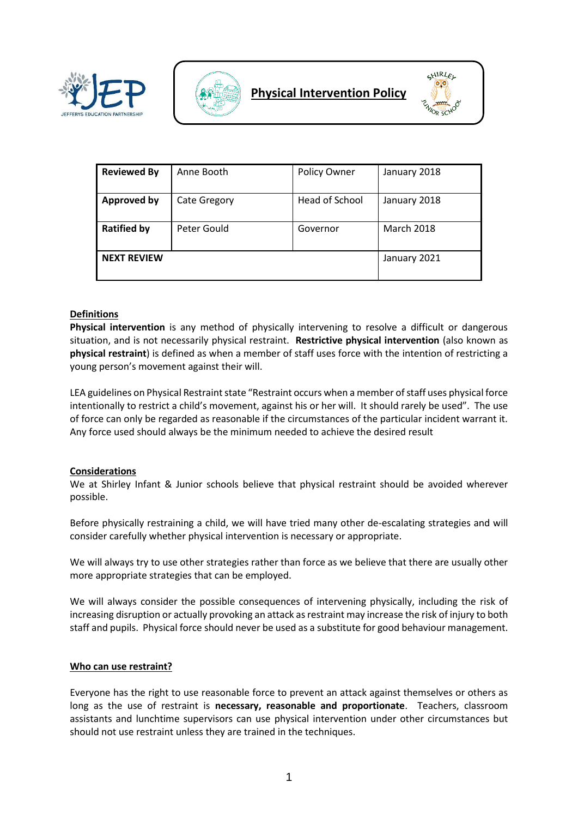





| <b>Reviewed By</b> | Anne Booth          | Policy Owner   | January 2018      |
|--------------------|---------------------|----------------|-------------------|
| <b>Approved by</b> | <b>Cate Gregory</b> | Head of School | January 2018      |
| <b>Ratified by</b> | Peter Gould         | Governor       | <b>March 2018</b> |
| <b>NEXT REVIEW</b> |                     |                | January 2021      |

# **Definitions**

**Physical intervention** is any method of physically intervening to resolve a difficult or dangerous situation, and is not necessarily physical restraint. **Restrictive physical intervention** (also known as **physical restraint**) is defined as when a member of staff uses force with the intention of restricting a young person's movement against their will.

LEA guidelines on Physical Restraint state "Restraint occurs when a member of staff uses physical force intentionally to restrict a child's movement, against his or her will. It should rarely be used". The use of force can only be regarded as reasonable if the circumstances of the particular incident warrant it. Any force used should always be the minimum needed to achieve the desired result

### **Considerations**

We at Shirley Infant & Junior schools believe that physical restraint should be avoided wherever possible.

Before physically restraining a child, we will have tried many other de-escalating strategies and will consider carefully whether physical intervention is necessary or appropriate.

We will always try to use other strategies rather than force as we believe that there are usually other more appropriate strategies that can be employed.

We will always consider the possible consequences of intervening physically, including the risk of increasing disruption or actually provoking an attack as restraint may increase the risk of injury to both staff and pupils. Physical force should never be used as a substitute for good behaviour management.

### **Who can use restraint?**

Everyone has the right to use reasonable force to prevent an attack against themselves or others as long as the use of restraint is **necessary, reasonable and proportionate**. Teachers, classroom assistants and lunchtime supervisors can use physical intervention under other circumstances but should not use restraint unless they are trained in the techniques.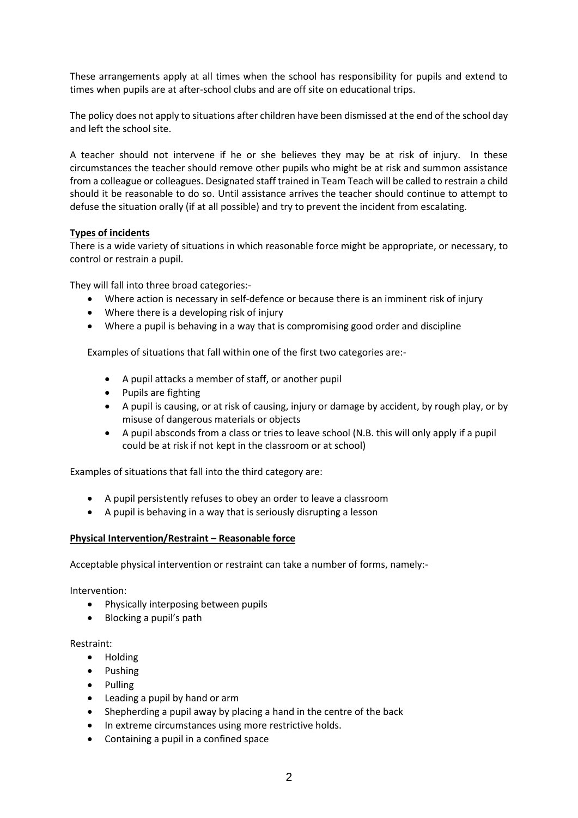These arrangements apply at all times when the school has responsibility for pupils and extend to times when pupils are at after-school clubs and are off site on educational trips.

The policy does not apply to situations after children have been dismissed at the end of the school day and left the school site.

A teacher should not intervene if he or she believes they may be at risk of injury. In these circumstances the teacher should remove other pupils who might be at risk and summon assistance from a colleague or colleagues. Designated staff trained in Team Teach will be called to restrain a child should it be reasonable to do so. Until assistance arrives the teacher should continue to attempt to defuse the situation orally (if at all possible) and try to prevent the incident from escalating.

# **Types of incidents**

There is a wide variety of situations in which reasonable force might be appropriate, or necessary, to control or restrain a pupil.

They will fall into three broad categories:-

- Where action is necessary in self-defence or because there is an imminent risk of injury
- Where there is a developing risk of injury
- Where a pupil is behaving in a way that is compromising good order and discipline

Examples of situations that fall within one of the first two categories are:-

- A pupil attacks a member of staff, or another pupil
- Pupils are fighting
- A pupil is causing, or at risk of causing, injury or damage by accident, by rough play, or by misuse of dangerous materials or objects
- A pupil absconds from a class or tries to leave school (N.B. this will only apply if a pupil could be at risk if not kept in the classroom or at school)

Examples of situations that fall into the third category are:

- A pupil persistently refuses to obey an order to leave a classroom
- A pupil is behaving in a way that is seriously disrupting a lesson

### **Physical Intervention/Restraint – Reasonable force**

Acceptable physical intervention or restraint can take a number of forms, namely:-

Intervention:

- Physically interposing between pupils
- Blocking a pupil's path

Restraint:

- Holding
- Pushing
- Pulling
- Leading a pupil by hand or arm
- Shepherding a pupil away by placing a hand in the centre of the back
- In extreme circumstances using more restrictive holds.
- Containing a pupil in a confined space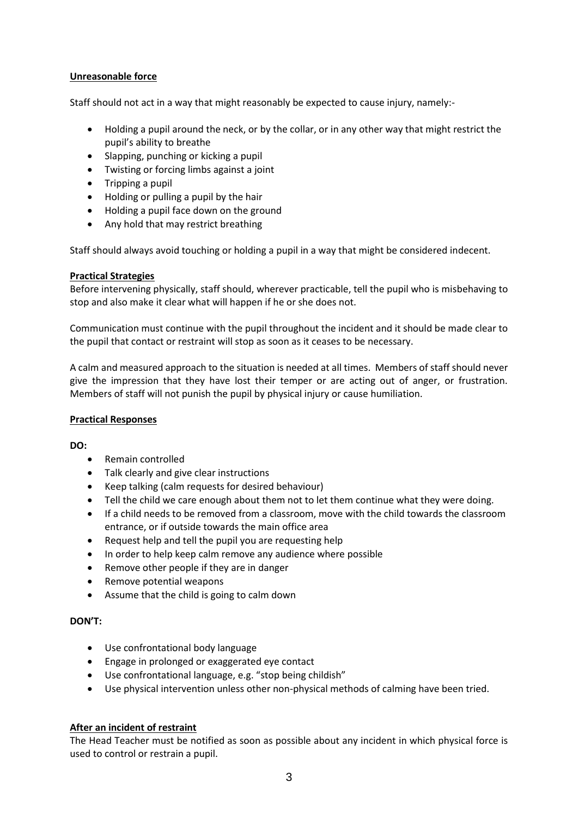# **Unreasonable force**

Staff should not act in a way that might reasonably be expected to cause injury, namely:-

- Holding a pupil around the neck, or by the collar, or in any other way that might restrict the pupil's ability to breathe
- Slapping, punching or kicking a pupil
- Twisting or forcing limbs against a joint
- $\bullet$  Tripping a pupil
- Holding or pulling a pupil by the hair
- Holding a pupil face down on the ground
- Any hold that may restrict breathing

Staff should always avoid touching or holding a pupil in a way that might be considered indecent.

# **Practical Strategies**

Before intervening physically, staff should, wherever practicable, tell the pupil who is misbehaving to stop and also make it clear what will happen if he or she does not.

Communication must continue with the pupil throughout the incident and it should be made clear to the pupil that contact or restraint will stop as soon as it ceases to be necessary.

A calm and measured approach to the situation is needed at all times. Members of staff should never give the impression that they have lost their temper or are acting out of anger, or frustration. Members of staff will not punish the pupil by physical injury or cause humiliation.

### **Practical Responses**

**DO:**

- Remain controlled
- Talk clearly and give clear instructions
- Keep talking (calm requests for desired behaviour)
- Tell the child we care enough about them not to let them continue what they were doing.
- If a child needs to be removed from a classroom, move with the child towards the classroom entrance, or if outside towards the main office area
- Request help and tell the pupil you are requesting help
- In order to help keep calm remove any audience where possible
- Remove other people if they are in danger
- Remove potential weapons
- Assume that the child is going to calm down

### **DON'T:**

- Use confrontational body language
- Engage in prolonged or exaggerated eye contact
- Use confrontational language, e.g. "stop being childish"
- Use physical intervention unless other non-physical methods of calming have been tried.

# **After an incident of restraint**

The Head Teacher must be notified as soon as possible about any incident in which physical force is used to control or restrain a pupil.